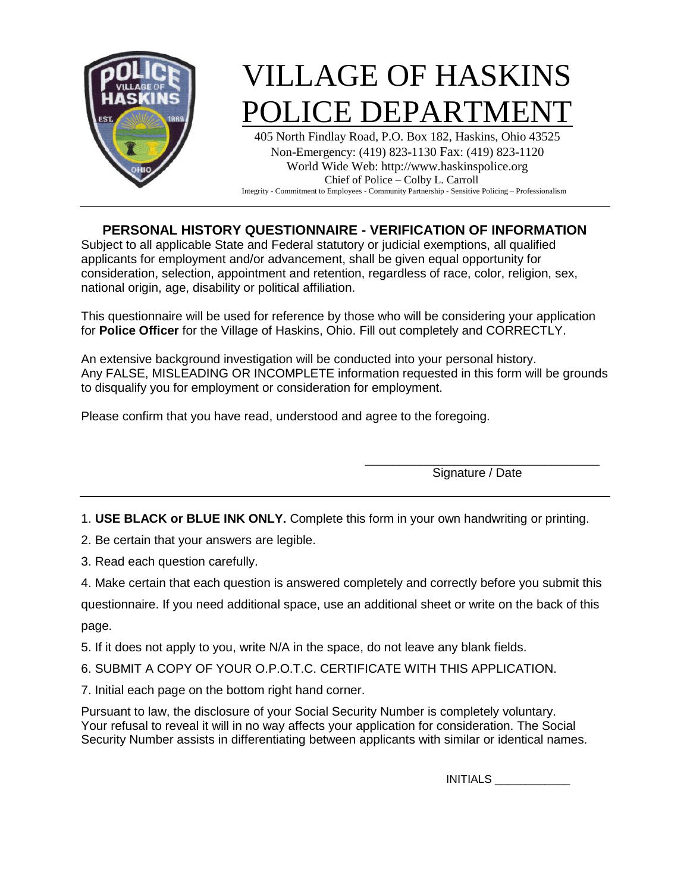

# VILLAGE OF HASKINS POLICE DEPARTMEN

405 North Findlay Road, P.O. Box 182, Haskins, Ohio 43525 Non-Emergency: (419) 823-1130 Fax: (419) 823-1120 World Wide Web: http://www.haskinspolice.org Chief of Police – Colby L. Carroll Integrity - Commitment to Employees - Community Partnership - Sensitive Policing – Professionalism

### **PERSONAL HISTORY QUESTIONNAIRE - VERIFICATION OF INFORMATION**

Subject to all applicable State and Federal statutory or judicial exemptions, all qualified applicants for employment and/or advancement, shall be given equal opportunity for consideration, selection, appointment and retention, regardless of race, color, religion, sex, national origin, age, disability or political affiliation.

This questionnaire will be used for reference by those who will be considering your application for **Police Officer** for the Village of Haskins, Ohio. Fill out completely and CORRECTLY.

An extensive background investigation will be conducted into your personal history. Any FALSE, MISLEADING OR INCOMPLETE information requested in this form will be grounds to disqualify you for employment or consideration for employment.

Please confirm that you have read, understood and agree to the foregoing.

\_\_\_\_\_\_\_\_\_\_\_\_\_\_\_\_\_\_\_\_\_\_\_\_\_\_\_\_\_\_\_\_\_\_ Signature / Date

1. **USE BLACK or BLUE INK ONLY.** Complete this form in your own handwriting or printing.

2. Be certain that your answers are legible.

- 3. Read each question carefully.
- 4. Make certain that each question is answered completely and correctly before you submit this

questionnaire. If you need additional space, use an additional sheet or write on the back of this page.

- 5. If it does not apply to you, write N/A in the space, do not leave any blank fields.
- 6. SUBMIT A COPY OF YOUR O.P.O.T.C. CERTIFICATE WITH THIS APPLICATION.
- 7. Initial each page on the bottom right hand corner.

Pursuant to law, the disclosure of your Social Security Number is completely voluntary. Your refusal to reveal it will in no way affects your application for consideration. The Social Security Number assists in differentiating between applicants with similar or identical names.

INITIALS \_\_\_\_\_\_\_\_\_\_\_\_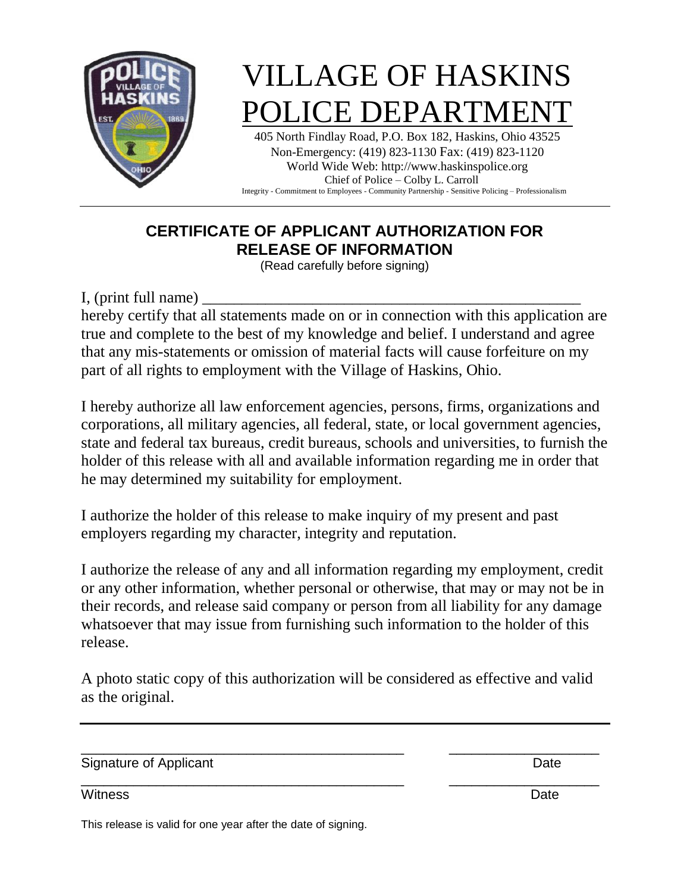

# VILLAGE OF HASKINS POLICE DEPARTMEN

405 North Findlay Road, P.O. Box 182, Haskins, Ohio 43525 Non-Emergency: (419) 823-1130 Fax: (419) 823-1120 World Wide Web: http://www.haskinspolice.org Chief of Police – Colby L. Carroll Integrity - Commitment to Employees - Community Partnership - Sensitive Policing – Professionalism

## **CERTIFICATE OF APPLICANT AUTHORIZATION FOR RELEASE OF INFORMATION**

(Read carefully before signing)

I, (print full name)

hereby certify that all statements made on or in connection with this application are true and complete to the best of my knowledge and belief. I understand and agree that any mis-statements or omission of material facts will cause forfeiture on my part of all rights to employment with the Village of Haskins, Ohio.

I hereby authorize all law enforcement agencies, persons, firms, organizations and corporations, all military agencies, all federal, state, or local government agencies, state and federal tax bureaus, credit bureaus, schools and universities, to furnish the holder of this release with all and available information regarding me in order that he may determined my suitability for employment.

I authorize the holder of this release to make inquiry of my present and past employers regarding my character, integrity and reputation.

I authorize the release of any and all information regarding my employment, credit or any other information, whether personal or otherwise, that may or may not be in their records, and release said company or person from all liability for any damage whatsoever that may issue from furnishing such information to the holder of this release.

A photo static copy of this authorization will be considered as effective and valid as the original.

\_\_\_\_\_\_\_\_\_\_\_\_\_\_\_\_\_\_\_\_\_\_\_\_\_\_\_\_\_\_\_\_\_\_\_\_\_\_\_\_\_\_\_ \_\_\_\_\_\_\_\_\_\_\_\_\_\_\_\_\_\_\_\_

\_\_\_\_\_\_\_\_\_\_\_\_\_\_\_\_\_\_\_\_\_\_\_\_\_\_\_\_\_\_\_\_\_\_\_\_\_\_\_\_\_\_\_ \_\_\_\_\_\_\_\_\_\_\_\_\_\_\_\_\_\_\_\_

Signature of Applicant Date **Date** 

Witness **Date** 

This release is valid for one year after the date of signing.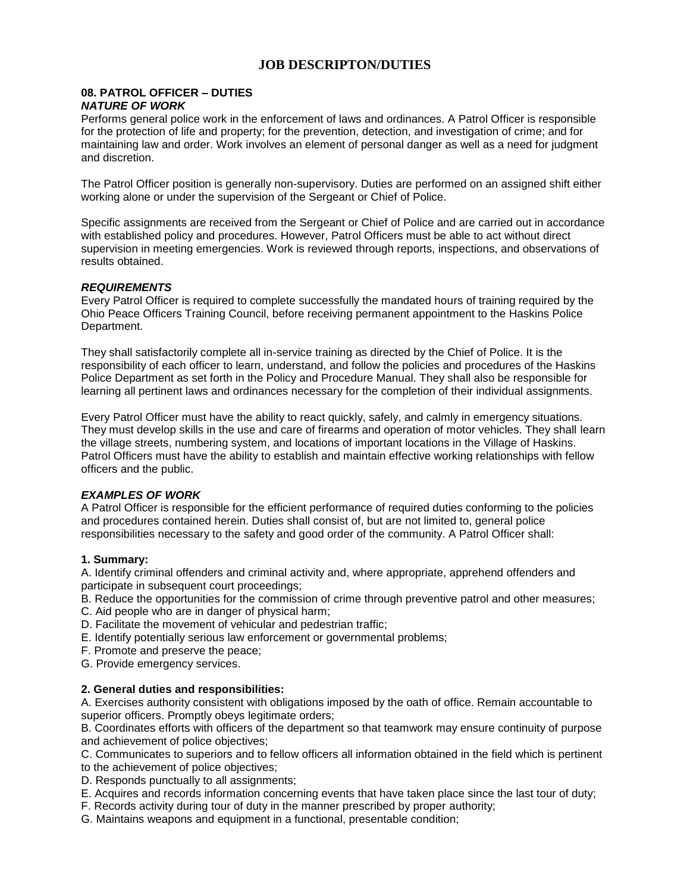### **JOB DESCRIPTON/DUTIES**

#### **08. PATROL OFFICER – DUTIES** *NATURE OF WORK*

Performs general police work in the enforcement of laws and ordinances. A Patrol Officer is responsible for the protection of life and property; for the prevention, detection, and investigation of crime; and for maintaining law and order. Work involves an element of personal danger as well as a need for judgment and discretion.

The Patrol Officer position is generally non-supervisory. Duties are performed on an assigned shift either working alone or under the supervision of the Sergeant or Chief of Police.

Specific assignments are received from the Sergeant or Chief of Police and are carried out in accordance with established policy and procedures. However, Patrol Officers must be able to act without direct supervision in meeting emergencies. Work is reviewed through reports, inspections, and observations of results obtained.

#### *REQUIREMENTS*

Every Patrol Officer is required to complete successfully the mandated hours of training required by the Ohio Peace Officers Training Council, before receiving permanent appointment to the Haskins Police Department.

They shall satisfactorily complete all in-service training as directed by the Chief of Police. It is the responsibility of each officer to learn, understand, and follow the policies and procedures of the Haskins Police Department as set forth in the Policy and Procedure Manual. They shall also be responsible for learning all pertinent laws and ordinances necessary for the completion of their individual assignments.

Every Patrol Officer must have the ability to react quickly, safely, and calmly in emergency situations. They must develop skills in the use and care of firearms and operation of motor vehicles. They shall learn the village streets, numbering system, and locations of important locations in the Village of Haskins. Patrol Officers must have the ability to establish and maintain effective working relationships with fellow officers and the public.

#### *EXAMPLES OF WORK*

A Patrol Officer is responsible for the efficient performance of required duties conforming to the policies and procedures contained herein. Duties shall consist of, but are not limited to, general police responsibilities necessary to the safety and good order of the community. A Patrol Officer shall:

#### **1. Summary:**

A. Identify criminal offenders and criminal activity and, where appropriate, apprehend offenders and participate in subsequent court proceedings;

B. Reduce the opportunities for the commission of crime through preventive patrol and other measures;

- C. Aid people who are in danger of physical harm;
- D. Facilitate the movement of vehicular and pedestrian traffic;
- E. Identify potentially serious law enforcement or governmental problems;
- F. Promote and preserve the peace;

G. Provide emergency services.

#### **2. General duties and responsibilities:**

A. Exercises authority consistent with obligations imposed by the oath of office. Remain accountable to superior officers. Promptly obeys legitimate orders;

B. Coordinates efforts with officers of the department so that teamwork may ensure continuity of purpose and achievement of police objectives;

C. Communicates to superiors and to fellow officers all information obtained in the field which is pertinent to the achievement of police objectives;

D. Responds punctually to all assignments;

- E. Acquires and records information concerning events that have taken place since the last tour of duty;
- F. Records activity during tour of duty in the manner prescribed by proper authority;
- G. Maintains weapons and equipment in a functional, presentable condition;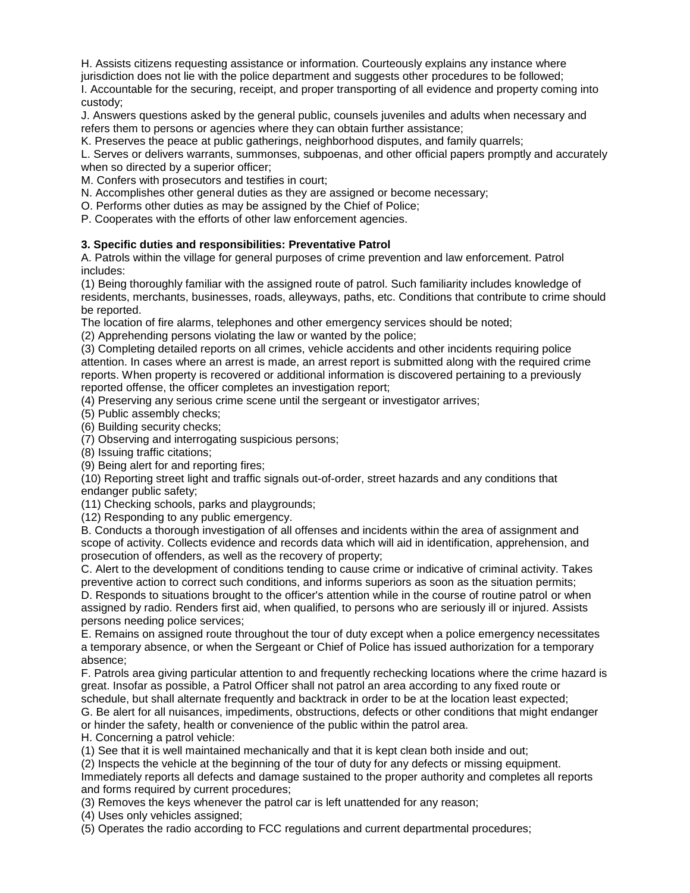H. Assists citizens requesting assistance or information. Courteously explains any instance where

jurisdiction does not lie with the police department and suggests other procedures to be followed;

I. Accountable for the securing, receipt, and proper transporting of all evidence and property coming into custody;

J. Answers questions asked by the general public, counsels juveniles and adults when necessary and refers them to persons or agencies where they can obtain further assistance;

K. Preserves the peace at public gatherings, neighborhood disputes, and family quarrels;

L. Serves or delivers warrants, summonses, subpoenas, and other official papers promptly and accurately when so directed by a superior officer;

M. Confers with prosecutors and testifies in court;

N. Accomplishes other general duties as they are assigned or become necessary;

O. Performs other duties as may be assigned by the Chief of Police;

P. Cooperates with the efforts of other law enforcement agencies.

#### **3. Specific duties and responsibilities: Preventative Patrol**

A. Patrols within the village for general purposes of crime prevention and law enforcement. Patrol includes:

(1) Being thoroughly familiar with the assigned route of patrol. Such familiarity includes knowledge of residents, merchants, businesses, roads, alleyways, paths, etc. Conditions that contribute to crime should be reported.

The location of fire alarms, telephones and other emergency services should be noted;

(2) Apprehending persons violating the law or wanted by the police;

(3) Completing detailed reports on all crimes, vehicle accidents and other incidents requiring police attention. In cases where an arrest is made, an arrest report is submitted along with the required crime reports. When property is recovered or additional information is discovered pertaining to a previously reported offense, the officer completes an investigation report;

(4) Preserving any serious crime scene until the sergeant or investigator arrives;

(5) Public assembly checks;

(6) Building security checks;

(7) Observing and interrogating suspicious persons;

(8) Issuing traffic citations;

(9) Being alert for and reporting fires;

(10) Reporting street light and traffic signals out-of-order, street hazards and any conditions that endanger public safety;

(11) Checking schools, parks and playgrounds;

(12) Responding to any public emergency.

B. Conducts a thorough investigation of all offenses and incidents within the area of assignment and scope of activity. Collects evidence and records data which will aid in identification, apprehension, and prosecution of offenders, as well as the recovery of property;

C. Alert to the development of conditions tending to cause crime or indicative of criminal activity. Takes preventive action to correct such conditions, and informs superiors as soon as the situation permits; D. Responds to situations brought to the officer's attention while in the course of routine patrol or when assigned by radio. Renders first aid, when qualified, to persons who are seriously ill or injured. Assists

persons needing police services;

E. Remains on assigned route throughout the tour of duty except when a police emergency necessitates a temporary absence, or when the Sergeant or Chief of Police has issued authorization for a temporary absence;

F. Patrols area giving particular attention to and frequently rechecking locations where the crime hazard is great. Insofar as possible, a Patrol Officer shall not patrol an area according to any fixed route or schedule, but shall alternate frequently and backtrack in order to be at the location least expected;

G. Be alert for all nuisances, impediments, obstructions, defects or other conditions that might endanger or hinder the safety, health or convenience of the public within the patrol area.

H. Concerning a patrol vehicle:

(1) See that it is well maintained mechanically and that it is kept clean both inside and out;

(2) Inspects the vehicle at the beginning of the tour of duty for any defects or missing equipment. Immediately reports all defects and damage sustained to the proper authority and completes all reports and forms required by current procedures;

(3) Removes the keys whenever the patrol car is left unattended for any reason;

(4) Uses only vehicles assigned;

(5) Operates the radio according to FCC regulations and current departmental procedures;